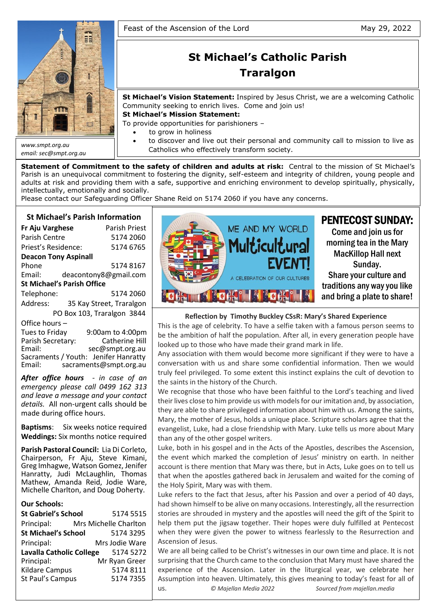

*email: sec@smpt.org.au*

# **St Michael's Catholic Parish Traralgon**

**St Michael's Vision Statement:** Inspired by Jesus Christ, we are a welcoming Catholic Community seeking to enrich lives. Come and join us!

**St Michael's Mission Statement:**

To provide opportunities for parishioners –

- to grow in holiness
- to discover and live out their personal and community call to mission to live as Catholics who effectively transform society.

**Statement of Commitment to the safety of children and adults at risk:** Central to the mission of St Michael's Parish is an unequivocal commitment to fostering the dignity, self-esteem and integrity of children, young people and adults at risk and providing them with a safe, supportive and enriching environment to develop spiritually, physically, intellectually, emotionally and socially.

Please contact our Safeguarding Officer Shane Reid on 5174 2060 if you have any concerns.

# **St Michael's Parish Information**

| Fr Aju Varghese                   | Parish Priest |                            |  |  |
|-----------------------------------|---------------|----------------------------|--|--|
| Parish Centre                     |               | 5174 2060                  |  |  |
| Priest's Residence:               |               | 5174 6765                  |  |  |
| <b>Deacon Tony Aspinall</b>       |               |                            |  |  |
| Phone                             |               | 51748167                   |  |  |
| Email:                            |               | deacontony8@gmail.com      |  |  |
| <b>St Michael's Parish Office</b> |               |                            |  |  |
| Telephone:                        |               | 5174 2060                  |  |  |
| Address:                          |               | 35 Kay Street, Traralgon   |  |  |
|                                   |               | PO Box 103, Traralgon 3844 |  |  |
| Office hours-                     |               |                            |  |  |
| Tues to Friday                    |               | 9:00am to 4:00pm           |  |  |
| Parish Secretary:                 |               | Catherine Hill             |  |  |

Parish Secretary: Catherine Hill Email: sec@smpt.org.au Sacraments / Youth: Jenifer Hanratty Email: [sacraments@smpt.org.au](mailto:sacraments@smpt.org.au)

*After office hours - in case of an emergency please call 0499 162 313 and leave a message and your contact details.* All non-urgent calls should be made during office hours.

**Baptisms**: Six weeks notice required **Weddings:** Six months notice required

**Parish Pastoral Council:** Lia Di Corleto, Chairperson, Fr Aju, Steve Kimani, Greg Imhagwe, Watson Gomez, Jenifer Hanratty, Judi McLaughlin, Thomas Mathew, Amanda Reid, Jodie Ware, Michelle Charlton, and Doug Doherty.

#### **Our Schools:**

| <b>St Gabriel's School</b>      | 5174 5515             |
|---------------------------------|-----------------------|
| Principal:                      | Mrs Michelle Charlton |
| <b>St Michael's School</b>      | 5174 3295             |
| Principal:                      | Mrs Jodie Ware        |
| <b>Lavalla Catholic College</b> | 5174 5272             |
| Principal:                      | Mr Ryan Greer         |
| Kildare Campus                  | 5174 8111             |
| St Paul's Campus                | 5174 7355             |
|                                 |                       |



# **Reflection by Timothy Buckley CSsR: Mary's Shared Experience**

This is the age of celebrity. To have a selfie taken with a famous person seems to be the ambition of half the population. After all, in every generation people have looked up to those who have made their grand mark in life.

Any association with them would become more significant if they were to have a conversation with us and share some confidential information. Then we would truly feel privileged. To some extent this instinct explains the cult of devotion to the saints in the history of the Church.

We recognise that those who have been faithful to the Lord's teaching and lived their lives close to him provide us with models for our imitation and, by association, they are able to share privileged information about him with us. Among the saints, Mary, the mother of Jesus, holds a unique place. Scripture scholars agree that the evangelist, Luke, had a close friendship with Mary. Luke tells us more about Mary than any of the other gospel writers.

Luke, both in his gospel and in the Acts of the Apostles, describes the Ascension, the event which marked the completion of Jesus' ministry on earth. In neither account is there mention that Mary was there, but in Acts, Luke goes on to tell us that when the apostles gathered back in Jerusalem and waited for the coming of the Holy Spirit, Mary was with them.

Luke refers to the fact that Jesus, after his Passion and over a period of 40 days, had shown himself to be alive on many occasions. Interestingly, all the resurrection stories are shrouded in mystery and the apostles will need the gift of the Spirit to help them put the jigsaw together. Their hopes were duly fulfilled at Pentecost when they were given the power to witness fearlessly to the Resurrection and Ascension of Jesus.

We are all being called to be Christ's witnesses in our own time and place. It is not surprising that the Church came to the conclusion that Mary must have shared the experience of the Ascension. Later in the liturgical year, we celebrate her Assumption into heaven. Ultimately, this gives meaning to today's feast for all of us. *© Majellan Media 2022 Sourced from majellan.media*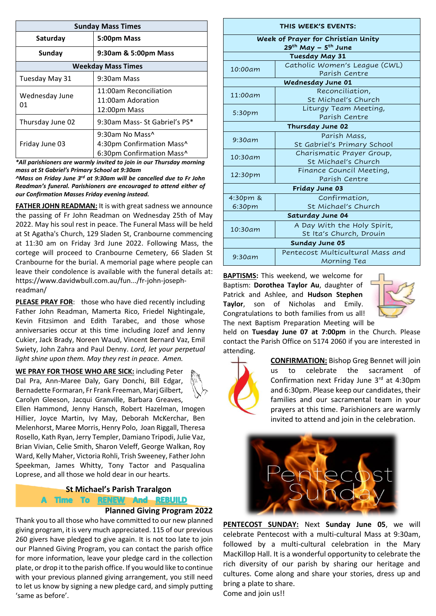| <b>Sunday Mass Times</b>  |                                                                           |  |  |  |  |
|---------------------------|---------------------------------------------------------------------------|--|--|--|--|
| Saturday                  | 5:00pm Mass                                                               |  |  |  |  |
| Sunday                    | 9:30am & 5:00pm Mass                                                      |  |  |  |  |
| <b>Weekday Mass Times</b> |                                                                           |  |  |  |  |
| Tuesday May 31            | 9:30am Mass                                                               |  |  |  |  |
| Wednesday June<br>01      | 11:00am Reconciliation<br>11:00am Adoration<br>12:00pm Mass               |  |  |  |  |
| Thursday June 02          | 9:30am Mass- St Gabriel's PS*                                             |  |  |  |  |
| Friday June 03            | 9:30am No Mass^<br>4:30pm Confirmation Mass^<br>6:30pm Confirmation Mass^ |  |  |  |  |

*\*All parishioners are warmly invited to join in our Thursday morning mass at St Gabriel's Primary School at 9:30am*

*^Mass on Friday June 3rd at 9:30am will be cancelled due to Fr John Readman's funeral. Parishioners are encouraged to attend either of our Confirmation Masses Friday evening instead.*

**FATHER JOHN READMAN:** It is with great sadness we announce the passing of Fr John Readman on Wednesday 25th of May 2022. May his soul rest in peace. The Funeral Mass will be held at St Agatha's Church, 129 Sladen St, Cranbourne commencing at 11:30 am on Friday 3rd June 2022. Following Mass, the cortege will proceed to Cranbourne Cemetery, 66 Sladen St Cranbourne for the burial. A memorial page where people can leave their condolence is available with the funeral details at: [https://www.davidwbull.com.au/fun.../fr-john-joseph](https://www.davidwbull.com.au/funeral-notice/fr-john-joseph-readman/?fbclid=IwAR2MaPSTavvnzrsdgT2glXKXH9qAeFxogAu1s8RZe0ueQ79mfRW9isxW8mw)[readman/](https://www.davidwbull.com.au/funeral-notice/fr-john-joseph-readman/?fbclid=IwAR2MaPSTavvnzrsdgT2glXKXH9qAeFxogAu1s8RZe0ueQ79mfRW9isxW8mw)

**PLEASE PRAY FOR**: those who have died recently including Father John Readman, Mamerta Rico, Friedel Nightingale, Kevin Fitzsimon and Edith Tarabec, and those whose anniversaries occur at this time including Jozef and Jenny Cukier, Jack Brady, Noreen Waud, Vincent Bernard Vaz, Emil Swiety, John Zahra and Paul Denny. *Lord, let your perpetual light shine upon them. May they rest in peace. Amen.*

**WE PRAY FOR THOSE WHO ARE SICK:** including Peter Dal Pra, Ann-Maree Daly, Gary Donchi, Bill Edgar, Bernadette Formaran, Fr Frank Freeman, Marj Gilbert, Carolyn Gleeson, Jacqui Granville, Barbara Greaves,



Ellen Hammond, Jenny Hansch, Robert Hazelman, Imogen Hillier, Joyce Martin, Ivy May, Deborah McKerchar, Ben Melenhorst, Maree Morris, Henry Polo, Joan Riggall, Theresa Rosello, Kath Ryan, Jerry Templer, Damiano Tripodi, Julie Vaz, Brian Vivian, Celie Smith, Sharon Veleff, George Walkan, Roy Ward, Kelly Maher, Victoria Rohli, Trish Sweeney, Father John Speekman, James Whitty, Tony Tactor and Pasqualina Loprese, and all those we hold dear in our hearts.

# **St Michael's Parish Traralgon**

A Time To RENEW And REBUILD

# **Planned Giving Program 2022**

Thank you to all those who have committed to our new planned giving program, it is very much appreciated. 115 of our previous 260 givers have pledged to give again. It is not too late to join our Planned Giving Program, you can contact the parish office for more information, leave your pledge card in the collection plate, or drop it to the parish office. If you would like to continue with your previous planned giving arrangement, you still need to let us know by signing a new pledge card, and simply putting 'same as before'.

| THIS WEEK'S EVENTS:                |                                             |  |  |  |  |
|------------------------------------|---------------------------------------------|--|--|--|--|
| Week of Prayer for Christian Unity |                                             |  |  |  |  |
|                                    | 29 <sup>th</sup> May – 5 <sup>th</sup> June |  |  |  |  |
|                                    | <b>Tuesday May 31</b>                       |  |  |  |  |
| 10:00am                            | Catholic Women's League (CWL)               |  |  |  |  |
|                                    | Parish Centre                               |  |  |  |  |
|                                    | Wednesday June 01                           |  |  |  |  |
| 11:00am                            | Reconciliation,                             |  |  |  |  |
|                                    | St Michael's Church                         |  |  |  |  |
| 5:30pm                             | Liturgy Team Meeting,                       |  |  |  |  |
|                                    | Parish Centre                               |  |  |  |  |
|                                    | Thursday June 02                            |  |  |  |  |
| 9:30am                             | Parish Mass,                                |  |  |  |  |
|                                    | St Gabriel's Primary School                 |  |  |  |  |
| 10:30am                            | Charismatic Prayer Group,                   |  |  |  |  |
|                                    | St Michael's Church                         |  |  |  |  |
| 12:30pm                            | Finance Council Meeting,                    |  |  |  |  |
|                                    | Parish Centre                               |  |  |  |  |
|                                    | Friday June 03                              |  |  |  |  |
| 4:30pm &                           | Confirmation,                               |  |  |  |  |
| 6:30pm                             | St Michael's Church                         |  |  |  |  |
|                                    | Saturday June 04                            |  |  |  |  |
|                                    | A Day With the Holy Spirit,                 |  |  |  |  |
| 10:30am                            | St Ita's Church, Drouin                     |  |  |  |  |
| Sunday June 05                     |                                             |  |  |  |  |
| 9:30am                             | Pentecost Multicultural Mass and            |  |  |  |  |
|                                    | Morning Tea                                 |  |  |  |  |
|                                    |                                             |  |  |  |  |

**BAPTISMS:** This weekend, we welcome for Baptism: **Dorothea Taylor Au**, daughter of Patrick and Ashlee, and **Hudson Stephen Taylor**, son of Nicholas and Emily. Congratulations to both families from us all! The next Baptism Preparation Meeting will be



held on **Tuesday June 07 at 7:00pm** in the Church. Please contact the Parish Office on 5174 2060 if you are interested in attending.



**CONFIRMATION:** Bishop Greg Bennet will join us to celebrate the sacrament of Confirmation next Friday June 3rd at 4:30pm and 6:30pm. Please keep our candidates, their families and our sacramental team in your prayers at this time. Parishioners are warmly invited to attend and join in the celebration.



**PENTECOST SUNDAY:** Next **Sunday June 05**, we will celebrate Pentecost with a multi-cultural Mass at 9:30am, followed by a multi-cultural celebration in the Mary MacKillop Hall. It is a wonderful opportunity to celebrate the rich diversity of our parish by sharing our heritage and cultures. Come along and share your stories, dress up and bring a plate to share.

Come and join us!!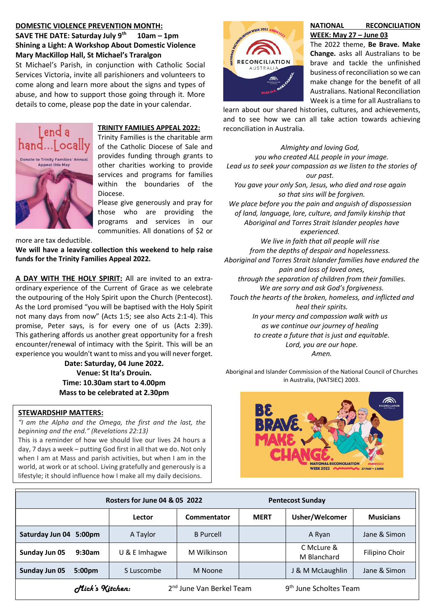#### **DOMESTIC VIOLENCE PREVENTION MONTH: SAVE THE DATE: Saturday July 9 th 10am – 1pm Shining a Light: A Workshop About Domestic Violence Mary MacKillop Hall, St Michael's Traralgon**

St Michael's Parish, in conjunction with Catholic Social Services Victoria, invite all parishioners and volunteers to come along and learn more about the signs and types of abuse, and how to support those going through it. More details to come, please pop the date in your calendar.



# **TRINITY FAMILIES APPEAL 2022:**

Trinity Families is the charitable arm of the Catholic Diocese of Sale and provides funding through grants to other charities working to provide services and programs for families within the boundaries of the Diocese.

Please give generously and pray for those who are providing the programs and services in our communities. All donations of \$2 or

more are tax deductible.

**We will have a leaving collection this weekend to help raise funds for the Trinity Families Appeal 2022.**

**A DAY WITH THE HOLY SPIRIT:** All are invited to an extraordinary experience of the Current of Grace as we celebrate the outpouring of the Holy Spirit upon the Church (Pentecost). As the Lord promised "you will be baptised with the Holy Spirit not many days from now" (Acts 1:5; see also Acts 2:1-4). This promise, Peter says, is for every one of us (Acts 2:39). This gathering affords us another great opportunity for a fresh encounter/renewal of intimacy with the Spirit. This will be an experience you wouldn't want to miss and you will never forget.

**Date: Saturday, 04 June 2022. Venue: St Ita's Drouin. Time: 10.30am start to 4.00pm Mass to be celebrated at 2.30pm**

#### **STEWARDSHIP MATTERS:**

*"I am the Alpha and the Omega, the first and the last, the beginning and the end." (Revelations 22:13)*

This is a reminder of how we should live our lives 24 hours a day, 7 days a week – putting God first in all that we do. Not only when I am at Mass and parish activities, but when I am in the world, at work or at school. Living gratefully and generously is a lifestyle; it should influence how I make all my daily decisions.



#### **NATIONAL RECONCILIATION WEEK: May 27 – June 03**

The 2022 theme, **Be Brave. Make Change.** asks all Australians to be brave and tackle the unfinished business of reconciliation so we can make change for the benefit of all Australians. National Reconciliation Week is a time for all Australians to

learn about our shared histories, cultures, and achievements, and to see how we can all take action towards achieving reconciliation in Australia.

*Almighty and loving God, you who created ALL people in your image. Lead us to seek your compassion as we listen to the stories of our past. You gave your only Son, Jesus, who died and rose again so that sins will be forgiven. We place before you the pain and anguish of dispossession of land, language, lore, culture, and family kinship that Aboriginal and Torres Strait Islander peoples have experienced. We live in faith that all people will rise from the depths of despair and hopelessness. Aboriginal and Torres Strait Islander families have endured the pain and loss of loved ones, through the separation of children from their families. We are sorry and ask God's forgiveness. Touch the hearts of the broken, homeless, and inflicted and heal their spirits. In your mercy and compassion walk with us as we continue our journey of healing to create a future that is just and equitable. Lord, you are our hope.*

*Amen.*

Aboriginal and Islander Commission of the National Council of Churches in Australia, (NATSIEC) 2003.



|                                                                                               | Rosters for June 04 & 05 2022 |               |                  | <b>Pentecost Sunday</b> |                           |                  |
|-----------------------------------------------------------------------------------------------|-------------------------------|---------------|------------------|-------------------------|---------------------------|------------------|
|                                                                                               |                               | Lector        | Commentator      | <b>MERT</b>             | Usher/Welcomer            | <b>Musicians</b> |
| Saturday Jun 04 5:00pm                                                                        |                               | A Taylor      | <b>B</b> Purcell |                         | A Ryan                    | Jane & Simon     |
| Sunday Jun 05                                                                                 | 9:30am                        | U & E Imhagwe | M Wilkinson      |                         | C McLure &<br>M Blanchard | Filipino Choir   |
| Sunday Jun 05                                                                                 | 5:00 <sub>pm</sub>            | S Luscombe    | M Noone          |                         | J & M McLaughlin          | Jane & Simon     |
| Mick's Kitchen:<br>2 <sup>nd</sup> June Van Berkel Team<br>9 <sup>th</sup> June Scholtes Team |                               |               |                  |                         |                           |                  |